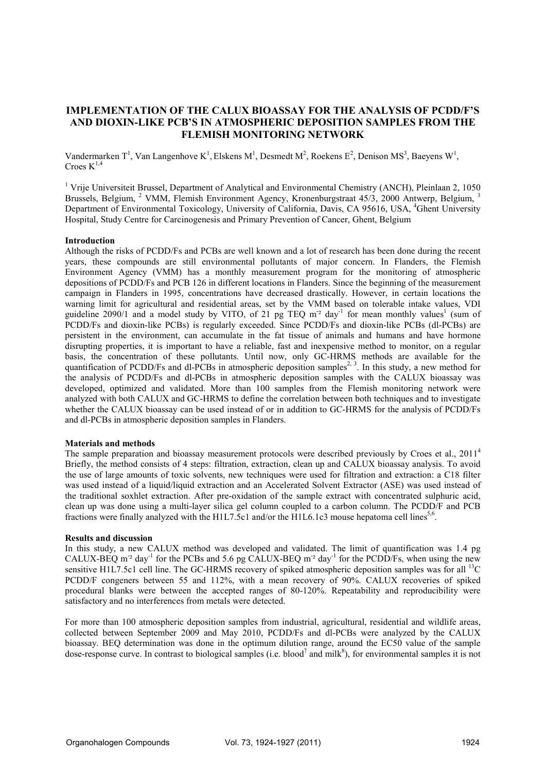# **IMPLEMENTATION OF THE CALUX BIOASSAY FOR THE ANALYSIS OF PCDD/F'S AND DIOXIN-LIKE PCB'S IN ATMOSPHERIC DEPOSITION SAMPLES FROM THE FLEMISH MONITORING NETWORK**

Vandermarken T<sup>1</sup>, Van Langenhove K<sup>1</sup>, Elskens M<sup>1</sup>, Desmedt M<sup>2</sup>, Roekens E<sup>2</sup>, Denison MS<sup>3</sup>, Baeyens W<sup>1</sup>, Croes  $K^{1,4}$ 

<sup>1</sup> Vrije Universiteit Brussel, Department of Analytical and Environmental Chemistry (ANCH), Pleinlaan 2, 1050 Brussels, Belgium, <sup>2</sup> VMM, Flemish Environment Agency, Kronenburgstraat 45/3, 2000 Antwerp, Belgium, <sup>3</sup> Department of Environmental Toxicology, University of California, Davis, CA 95616, USA, <sup>4</sup>Ghent University Hospital, Study Centre for Carcinogenesis and Primary Prevention of Cancer, Ghent, Belgium

### **Introduction**

Although the risks of PCDD/Fs and PCBs are well known and a lot of research has been done during the recent years, these compounds are still environmental pollutants of major concern. In Flanders, the Flemish Environment Agency (VMM) has a monthly measurement program for the monitoring of atmospheric depositions of PCDD/Fs and PCB 126 in different locations in Flanders. Since the beginning of the measurement campaign in Flanders in 1995, concentrations have decreased drastically. However, in certain locations the warning limit for agricultural and residential areas, set by the VMM based on tolerable intake values, VDI guideline 2090/1 and a model study by VITO, of 21 pg TEQ  $m^2$  day<sup>-1</sup> for mean monthly values<sup>1</sup> (sum of PCDD/Fs and dioxin-like PCBs) is regularly exceeded. Since PCDD/Fs and dioxin-like PCBs (dl-PCBs) are persistent in the environment, can accumulate in the fat tissue of animals and humans and have hormone disrupting properties, it is important to have a reliable, fast and inexpensive method to monitor, on a regular basis, the concentration of these pollutants. Until now, only GC-HRMS methods are available for the quantification of PCDD/Fs and dl-PCBs in atmospheric deposition samples<sup>2, 3</sup>. In this study, a new method for the analysis of PCDD/Fs and dl-PCBs in atmospheric deposition samples with the CALUX bioassay was developed, optimized and validated. More than 100 samples from the Flemish monitoring network were analyzed with both CALUX and GC-HRMS to define the correlation between both techniques and to investigate whether the CALUX bioassay can be used instead of or in addition to GC-HRMS for the analysis of PCDD/Fs and dl-PCBs in atmospheric deposition samples in Flanders.

### **Materials and methods**

The sample preparation and bioassay measurement protocols were described previously by Croes et al., 2011<sup>4</sup> Briefly, the method consists of 4 steps: filtration, extraction, clean up and CALUX bioassay analysis. To avoid the use of large amounts of toxic solvents, new techniques were used for filtration and extraction: a C18 filter was used instead of a liquid/liquid extraction and an Accelerated Solvent Extractor (ASE) was used instead of the traditional soxhlet extraction. After pre-oxidation of the sample extract with concentrated sulphuric acid, clean up was done using a multi-layer silica gel column coupled to a carbon column. The PCDD/F and PCB fractions were finally analyzed with the H1L7.5c1 and/or the H1L6.1c3 mouse hepatoma cell lines<sup>5,6</sup>.

### **Results and discussion**

In this study, a new CALUX method was developed and validated. The limit of quantification was 1.4 pg CALUX-BEQ m<sup>-2</sup> day<sup>-1</sup> for the PCBs and 5.6 pg CALUX-BEQ m<sup>-2</sup> day<sup>-1</sup> for the PCDD/Fs, when using the new sensitive H1L7.5c1 cell line. The GC-HRMS recovery of spiked atmospheric deposition samples was for all <sup>13</sup>C PCDD/F congeners between 55 and 112%, with a mean recovery of 90%. CALUX recoveries of spiked procedural blanks were between the accepted ranges of 80-120%. Repeatability and reproducibility were satisfactory and no interferences from metals were detected.

For more than 100 atmospheric deposition samples from industrial, agricultural, residential and wildlife areas, collected between September 2009 and May 2010, PCDD/Fs and dl-PCBs were analyzed by the CALUX bioassay. BEQ determination was done in the optimum dilution range, around the EC50 value of the sample dose-response curve. In contrast to biological samples (i.e. blood<sup>7</sup> and milk<sup>8</sup>), for environmental samples it is not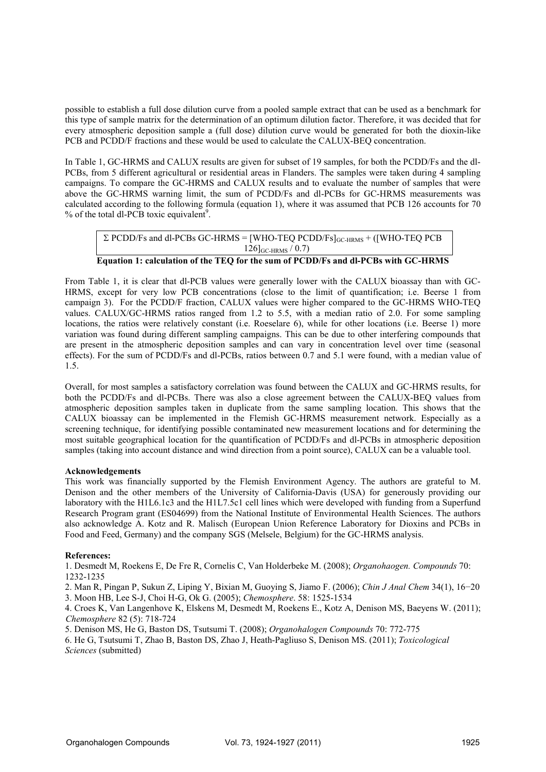possible to establish a full dose dilution curve from a pooled sample extract that can be used as a benchmark for this type of sample matrix for the determination of an optimum dilution factor. Therefore, it was decided that for every atmospheric deposition sample a (full dose) dilution curve would be generated for both the dioxin-like PCB and PCDD/F fractions and these would be used to calculate the CALUX-BEQ concentration.

In Table 1, GC-HRMS and CALUX results are given for subset of 19 samples, for both the PCDD/Fs and the dl-PCBs, from 5 different agricultural or residential areas in Flanders. The samples were taken during 4 sampling campaigns. To compare the GC-HRMS and CALUX results and to evaluate the number of samples that were above the GC-HRMS warning limit, the sum of PCDD/Fs and dl-PCBs for GC-HRMS measurements was calculated according to the following formula (equation 1), where it was assumed that PCB 126 accounts for 70  $%$  of the total dl-PCB toxic equivalent<sup>9</sup>.

```
\Sigma PCDD/Fs and dl-PCBs GC-HRMS = [WHO-TEQ PCDD/Fs]<sub>GC-HRMS</sub> + ([WHO-TEQ PCB]
                            126<sub>GC-HRMS</sub> / 0.7)
```
**Equation 1: calculation of the TEQ for the sum of PCDD/Fs and dl-PCBs with GC-HRMS** 

From Table 1, it is clear that dl-PCB values were generally lower with the CALUX bioassay than with GC-HRMS, except for very low PCB concentrations (close to the limit of quantification; i.e. Beerse 1 from campaign 3). For the PCDD/F fraction, CALUX values were higher compared to the GC-HRMS WHO-TEQ values. CALUX/GC-HRMS ratios ranged from 1.2 to 5.5, with a median ratio of 2.0. For some sampling locations, the ratios were relatively constant (i.e. Roeselare 6), while for other locations (i.e. Beerse 1) more variation was found during different sampling campaigns. This can be due to other interfering compounds that are present in the atmospheric deposition samples and can vary in concentration level over time (seasonal effects). For the sum of PCDD/Fs and dl-PCBs, ratios between 0.7 and 5.1 were found, with a median value of 1.5.

Overall, for most samples a satisfactory correlation was found between the CALUX and GC-HRMS results, for both the PCDD/Fs and dl-PCBs. There was also a close agreement between the CALUX-BEQ values from atmospheric deposition samples taken in duplicate from the same sampling location. This shows that the CALUX bioassay can be implemented in the Flemish GC-HRMS measurement network. Especially as a screening technique, for identifying possible contaminated new measurement locations and for determining the most suitable geographical location for the quantification of PCDD/Fs and dl-PCBs in atmospheric deposition samples (taking into account distance and wind direction from a point source), CALUX can be a valuable tool.

## **Acknowledgements**

This work was financially supported by the Flemish Environment Agency. The authors are grateful to M. Denison and the other members of the University of California-Davis (USA) for generously providing our laboratory with the H1L6.1c3 and the H1L7.5c1 cell lines which were developed with funding from a Superfund Research Program grant (ES04699) from the National Institute of Environmental Health Sciences. The authors also acknowledge A. Kotz and R. Malisch (European Union Reference Laboratory for Dioxins and PCBs in Food and Feed, Germany) and the company SGS (Melsele, Belgium) for the GC-HRMS analysis.

### **References:**

1. Desmedt M, Roekens E, De Fre R, Cornelis C, Van Holderbeke M. (2008); *Organohaogen. Compounds* 70: 1232-1235

2. Man R, Pingan P, Sukun Z, Liping Y, Bixian M, Guoying S, Jiamo F. (2006); *Chin J Anal Chem* 34(1), 16−20

3. Moon HB, Lee S-J, Choi H-G, Ok G. (2005); *Chemosphere*. 58: 1525-1534

4. Croes K, Van Langenhove K, Elskens M, Desmedt M, Roekens E., Kotz A, Denison MS, Baeyens W. (2011); *Chemosphere* 82 (5): 718-724

5. Denison MS, He G, Baston DS, Tsutsumi T. (2008); *Organohalogen Compounds* 70: 772-775

6. He G, Tsutsumi T, Zhao B, Baston DS, Zhao J, Heath-Pagliuso S, Denison MS. (2011); *Toxicological Sciences* (submitted)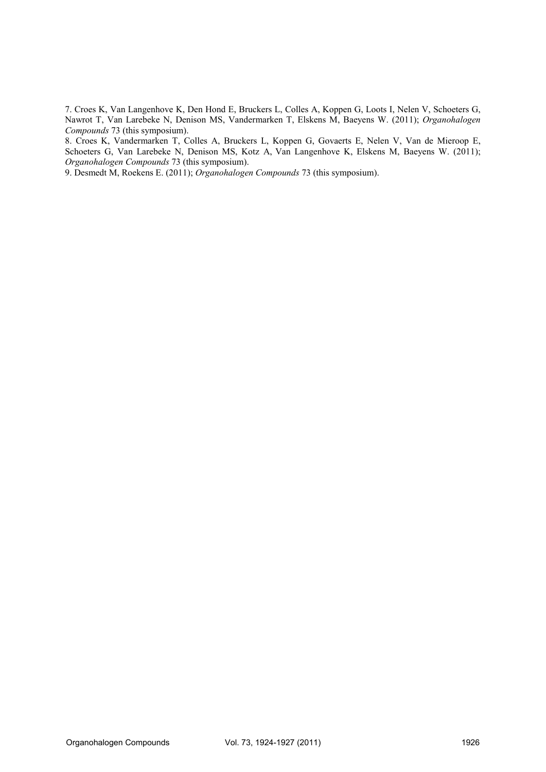7. Croes K, Van Langenhove K, Den Hond E, Bruckers L, Colles A, Koppen G, Loots I, Nelen V, Schoeters G, Nawrot T, Van Larebeke N, Denison MS, Vandermarken T, Elskens M, Baeyens W. (2011); *Organohalogen Compounds* 73 (this symposium).

8. Croes K, Vandermarken T, Colles A, Bruckers L, Koppen G, Govaerts E, Nelen V, Van de Mieroop E, Schoeters G, Van Larebeke N, Denison MS, Kotz A, Van Langenhove K, Elskens M, Baeyens W. (2011); *Organohalogen Compounds* 73 (this symposium).

9. Desmedt M, Roekens E. (2011); *Organohalogen Compounds* 73 (this symposium).